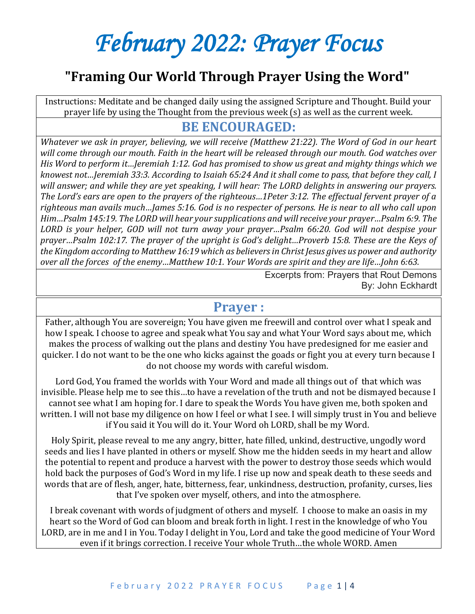# *February 2022: Prayer Focus*

## **"Framing Our World Through Prayer Using the Word"**

Instructions: Meditate and be changed daily using the assigned Scripture and Thought. Build your prayer life by using the Thought from the previous week (s) as well as the current week.

#### **BE ENCOURAGED:**

*Whatever we ask in prayer, believing, we will receive (Matthew 21:22). The Word of God in our heart will come through our mouth. Faith in the heart will be released through our mouth. God watches over His Word to perform it…Jeremiah 1:12. God has promised to show us great and mighty things which we knowest not…Jeremiah 33:3. According to Isaiah 65:24 And it shall come to pass, that before they call, I will answer; and while they are yet speaking, I will hear: The LORD delights in answering our prayers. The Lord's ears are open to the prayers of the righteous…1Peter 3:12. The effectual fervent prayer of a righteous man avails much…James 5:16. God is no respecter of persons. He is near to all who call upon Him…Psalm 145:19. The LORD will hear your supplications and will receive your prayer…Psalm 6:9. The LORD is your helper, GOD will not turn away your prayer…Psalm 66:20. God will not despise your prayer…Psalm 102:17. The prayer of the upright is God's delight…Proverb 15:8. These are the Keys of the Kingdom according to Matthew 16:19 which as believers in Christ Jesus gives us power and authority over all the forces of the enemy…Matthew 10:1. Your Words are spirit and they are life…John 6:63.*

> Excerpts from: Prayers that Rout Demons By: John Eckhardt

#### **Prayer :**

Father, although You are sovereign; You have given me freewill and control over what I speak and how I speak. I choose to agree and speak what You say and what Your Word says about me, which makes the process of walking out the plans and destiny You have predesigned for me easier and quicker. I do not want to be the one who kicks against the goads or fight you at every turn because I do not choose my words with careful wisdom.

Lord God, You framed the worlds with Your Word and made all things out of that which was invisible. Please help me to see this…to have a revelation of the truth and not be dismayed because I cannot see what I am hoping for. I dare to speak the Words You have given me, both spoken and written. I will not base my diligence on how I feel or what I see. I will simply trust in You and believe if You said it You will do it. Your Word oh LORD, shall be my Word.

Holy Spirit, please reveal to me any angry, bitter, hate filled, unkind, destructive, ungodly word seeds and lies I have planted in others or myself. Show me the hidden seeds in my heart and allow the potential to repent and produce a harvest with the power to destroy those seeds which would hold back the purposes of God's Word in my life. I rise up now and speak death to these seeds and words that are of flesh, anger, hate, bitterness, fear, unkindness, destruction, profanity, curses, lies that I've spoken over myself, others, and into the atmosphere.

I break covenant with words of judgment of others and myself. I choose to make an oasis in my heart so the Word of God can bloom and break forth in light. I rest in the knowledge of who You LORD, are in me and I in You. Today I delight in You, Lord and take the good medicine of Your Word even if it brings correction. I receive Your whole Truth…the whole WORD. Amen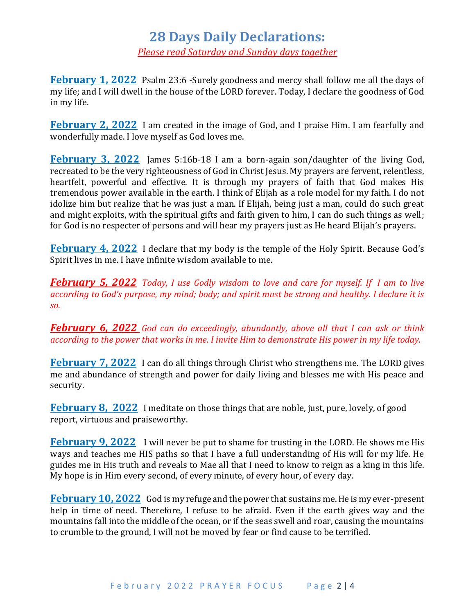### **28 Days Daily Declarations:**

*Please read Saturday and Sunday days together*

**February 1, 2022** Psalm 23:6 -Surely goodness and mercy shall follow me all the days of my life; and I will dwell in the house of the LORD forever. Today, I declare the goodness of God in my life.

**February 2, 2022** I am created in the image of God, and I praise Him. I am fearfully and wonderfully made. I love myself as God loves me.

**February 3, 2022** James 5:16b-18 I am a born-again son/daughter of the living God, recreated to be the very righteousness of God in Christ Jesus. My prayers are fervent, relentless, heartfelt, powerful and effective. It is through my prayers of faith that God makes His tremendous power available in the earth. I think of Elijah as a role model for my faith. I do not idolize him but realize that he was just a man. If Elijah, being just a man, could do such great and might exploits, with the spiritual gifts and faith given to him, I can do such things as well; for God is no respecter of persons and will hear my prayers just as He heard Elijah's prayers.

**February 4, 2022** I declare that my body is the temple of the Holy Spirit. Because God's Spirit lives in me. I have infinite wisdom available to me.

*February 5, 2022 Today, I use Godly wisdom to love and care for myself. If I am to live according to God's purpose, my mind; body; and spirit must be strong and healthy. I declare it is so.*

*February 6, 2022 God can do exceedingly, abundantly, above all that I can ask or think according to the power that works in me. I invite Him to demonstrate His power in my life today.*

**February 7, 2022** I can do all things through Christ who strengthens me. The LORD gives me and abundance of strength and power for daily living and blesses me with His peace and security.

**February 8, 2022** I meditate on those things that are noble, just, pure, lovely, of good report, virtuous and praiseworthy.

**February 9, 2022** I will never be put to shame for trusting in the LORD. He shows me His ways and teaches me HIS paths so that I have a full understanding of His will for my life. He guides me in His truth and reveals to Mae all that I need to know to reign as a king in this life. My hope is in Him every second, of every minute, of every hour, of every day.

**February 10, 2022** God is my refuge and the power that sustains me. He is my ever-present help in time of need. Therefore, I refuse to be afraid. Even if the earth gives way and the mountains fall into the middle of the ocean, or if the seas swell and roar, causing the mountains to crumble to the ground, I will not be moved by fear or find cause to be terrified.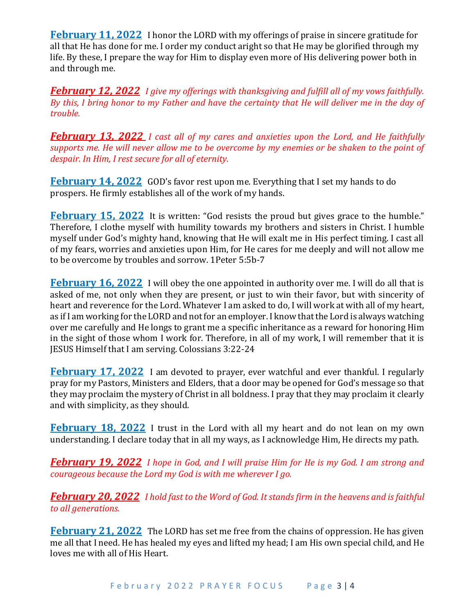**February 11, 2022** I honor the LORD with my offerings of praise in sincere gratitude for all that He has done for me. I order my conduct aright so that He may be glorified through my life. By these, I prepare the way for Him to display even more of His delivering power both in and through me.

*February 12, 2022 I give my offerings with thanksgiving and fulfill all of my vows faithfully. By this, I bring honor to my Father and have the certainty that He will deliver me in the day of trouble.*

*February 13, 2022 I cast all of my cares and anxieties upon the Lord, and He faithfully supports me. He will never allow me to be overcome by my enemies or be shaken to the point of despair. In Him, I rest secure for all of eternity.*

**February 14, 2022** GOD's favor rest upon me. Everything that I set my hands to do prospers. He firmly establishes all of the work of my hands.

**February 15, 2022** It is written: "God resists the proud but gives grace to the humble." Therefore, I clothe myself with humility towards my brothers and sisters in Christ. I humble myself under God's mighty hand, knowing that He will exalt me in His perfect timing. I cast all of my fears, worries and anxieties upon Him, for He cares for me deeply and will not allow me to be overcome by troubles and sorrow. 1Peter 5:5b-7

**February 16, 2022** I will obey the one appointed in authority over me. I will do all that is asked of me, not only when they are present, or just to win their favor, but with sincerity of heart and reverence for the Lord. Whatever I am asked to do, I will work at with all of my heart, as if I am working for the LORD and not for an employer. I know that the Lord is always watching over me carefully and He longs to grant me a specific inheritance as a reward for honoring Him in the sight of those whom I work for. Therefore, in all of my work, I will remember that it is JESUS Himself that I am serving. Colossians 3:22-24

**February 17, 2022** I am devoted to prayer, ever watchful and ever thankful. I regularly pray for my Pastors, Ministers and Elders, that a door may be opened for God's message so that they may proclaim the mystery of Christ in all boldness. I pray that they may proclaim it clearly and with simplicity, as they should.

**February 18, 2022** I trust in the Lord with all my heart and do not lean on my own understanding. I declare today that in all my ways, as I acknowledge Him, He directs my path.

*February 19, 2022 I hope in God, and I will praise Him for He is my God. I am strong and courageous because the Lord my God is with me wherever I go.*

*February 20, 2022 I hold fast to the Word of God. It stands firm in the heavens and is faithful to all generations.*

**February 21, 2022** The LORD has set me free from the chains of oppression. He has given me all that I need. He has healed my eyes and lifted my head; I am His own special child, and He loves me with all of His Heart.